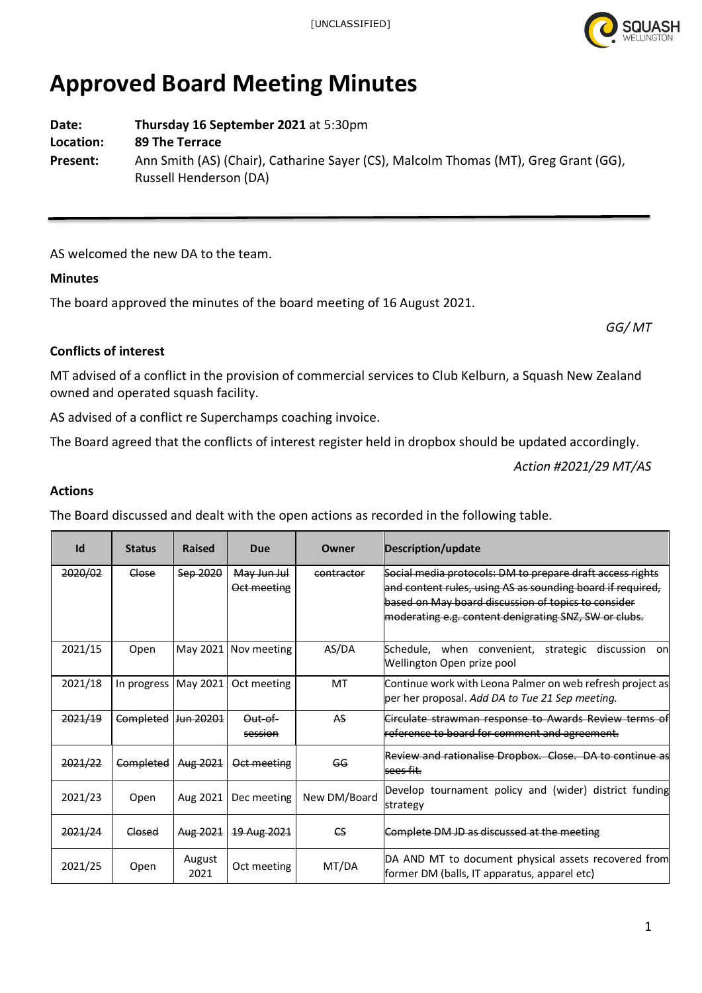

# **Approved Board Meeting Minutes**

**Date: Thursday 16 September 2021** at 5:30pm **Location: 89 The Terrace**

**Present:** Ann Smith (AS) (Chair), Catharine Sayer (CS), Malcolm Thomas (MT), Greg Grant (GG), Russell Henderson (DA)

AS welcomed the new DA to the team.

## **Minutes**

The board approved the minutes of the board meeting of 16 August 2021.

*GG/ MT*

## **Conflicts of interest**

MT advised of a conflict in the provision of commercial services to Club Kelburn, a Squash New Zealand owned and operated squash facility.

AS advised of a conflict re Superchamps coaching invoice.

The Board agreed that the conflicts of interest register held in dropbox should be updated accordingly.

*Action #2021/29 MT/AS*

## **Actions**

The Board discussed and dealt with the open actions as recorded in the following table.

| Id      | <b>Status</b>          | <b>Raised</b>                | Due                        | Owner        | Description/update                                                                                                                                                                                                                      |
|---------|------------------------|------------------------------|----------------------------|--------------|-----------------------------------------------------------------------------------------------------------------------------------------------------------------------------------------------------------------------------------------|
| 2020/02 | Close                  | Sep 2020                     | May Jun Jul<br>Oct meeting | contractor   | Social media protocols: DM to prepare draft access rights<br>and content rules, using AS as sounding board if required,<br>based on May board discussion of topics to consider<br>moderating e.g. content denigrating SNZ, SW or clubs. |
| 2021/15 | Open                   |                              | May 2021 Nov meeting       | AS/DA        | lSchedule. when convenient.<br>discussion on<br>strategic<br>Wellington Open prize pool                                                                                                                                                 |
| 2021/18 | In progress   May 2021 |                              | Oct meeting                | MT           | Continue work with Leona Palmer on web refresh project as<br>per her proposal. Add DA to Tue 21 Sep meeting.                                                                                                                            |
| 2021/19 | Completed              | <u>l<del>Jun 20201</del></u> | Out-of-<br>session         | <b>AS</b>    | Circulate strawman response to Awards Review terms of<br>reference to board for comment and agreement.                                                                                                                                  |
| 2021/22 | Completed              | Aug 2021                     | Oct meeting                | GG           | Review and rationalise Dropbox. Close. DA to continue as<br>sees fit.                                                                                                                                                                   |
| 2021/23 | Open                   | Aug 2021                     | Dec meeting                | New DM/Board | Develop tournament policy and (wider) district funding<br>strategy                                                                                                                                                                      |
| 2021/24 | Closed                 | Aug 2021                     | 19 Aug 2021                | $\epsilon$ s | Complete DM JD as discussed at the meeting                                                                                                                                                                                              |
| 2021/25 | Open                   | August<br>2021               | Oct meeting                | MT/DA        | DA AND MT to document physical assets recovered from<br>former DM (balls, IT apparatus, apparel etc)                                                                                                                                    |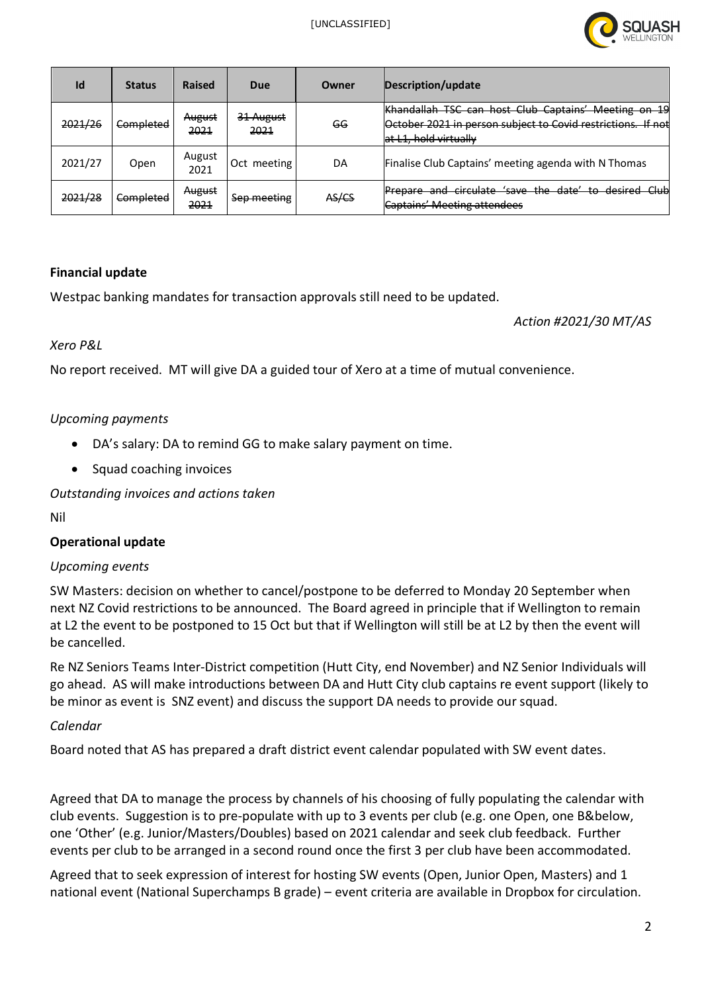

| Id      | <b>Status</b> | <b>Raised</b>  | Due               | Owner | Description/update                                                                                                                               |
|---------|---------------|----------------|-------------------|-------|--------------------------------------------------------------------------------------------------------------------------------------------------|
| 2021/26 | Completed     | August<br>2021 | 31 August<br>2021 | GG    | Khandallah TSC can host Club Captains' Meeting on 19<br>October 2021 in person subject to Covid restrictions.<br>lf not<br>at L1, hold virtually |
| 2021/27 | Open          | August<br>2021 | Oct meeting       | DA    | Finalise Club Captains' meeting agenda with N Thomas                                                                                             |
| 2021/28 | Completed     | August<br>2021 | Sep meeting       | AS/CS | Prepare and circulate 'save the date' to desired Club<br><b>Captains' Meeting attendees</b>                                                      |

## **Financial update**

Westpac banking mandates for transaction approvals still need to be updated.

*Action #2021/30 MT/AS*

#### *Xero P&L*

No report received. MT will give DA a guided tour of Xero at a time of mutual convenience.

## *Upcoming payments*

- DA's salary: DA to remind GG to make salary payment on time.
- Squad coaching invoices

*Outstanding invoices and actions taken*

Nil

#### **Operational update**

#### *Upcoming events*

SW Masters: decision on whether to cancel/postpone to be deferred to Monday 20 September when next NZ Covid restrictions to be announced. The Board agreed in principle that if Wellington to remain at L2 the event to be postponed to 15 Oct but that if Wellington will still be at L2 by then the event will be cancelled.

Re NZ Seniors Teams Inter-District competition (Hutt City, end November) and NZ Senior Individuals will go ahead. AS will make introductions between DA and Hutt City club captains re event support (likely to be minor as event is SNZ event) and discuss the support DA needs to provide our squad.

## *Calendar*

Board noted that AS has prepared a draft district event calendar populated with SW event dates.

Agreed that DA to manage the process by channels of his choosing of fully populating the calendar with club events. Suggestion is to pre-populate with up to 3 events per club (e.g. one Open, one B&below, one 'Other' (e.g. Junior/Masters/Doubles) based on 2021 calendar and seek club feedback. Further events per club to be arranged in a second round once the first 3 per club have been accommodated.

Agreed that to seek expression of interest for hosting SW events (Open, Junior Open, Masters) and 1 national event (National Superchamps B grade) – event criteria are available in Dropbox for circulation.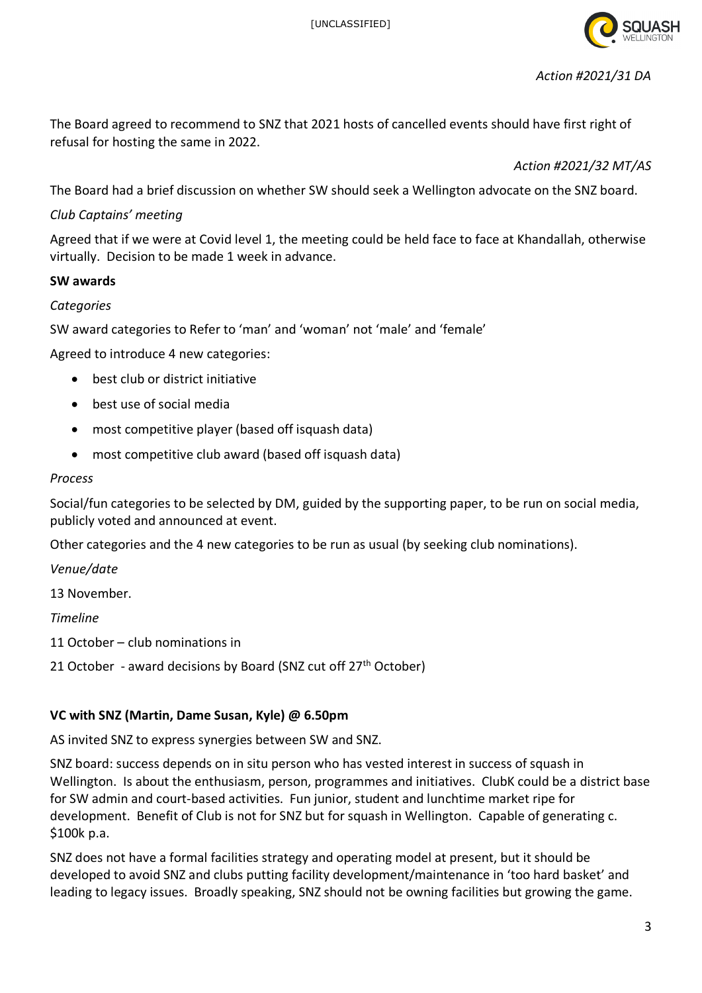

The Board agreed to recommend to SNZ that 2021 hosts of cancelled events should have first right of refusal for hosting the same in 2022.

*Action #2021/32 MT/AS*

The Board had a brief discussion on whether SW should seek a Wellington advocate on the SNZ board.

## *Club Captains' meeting*

Agreed that if we were at Covid level 1, the meeting could be held face to face at Khandallah, otherwise virtually. Decision to be made 1 week in advance.

## **SW awards**

## *Categories*

SW award categories to Refer to 'man' and 'woman' not 'male' and 'female'

Agreed to introduce 4 new categories:

- best club or district initiative
- best use of social media
- most competitive player (based off isquash data)
- most competitive club award (based off isquash data)

#### *Process*

Social/fun categories to be selected by DM, guided by the supporting paper, to be run on social media, publicly voted and announced at event.

Other categories and the 4 new categories to be run as usual (by seeking club nominations).

*Venue/date*

13 November.

*Timeline*

11 October – club nominations in

21 October - award decisions by Board (SNZ cut off  $27<sup>th</sup>$  October)

## **VC with SNZ (Martin, Dame Susan, Kyle) @ 6.50pm**

AS invited SNZ to express synergies between SW and SNZ.

SNZ board: success depends on in situ person who has vested interest in success of squash in Wellington. Is about the enthusiasm, person, programmes and initiatives. ClubK could be a district base for SW admin and court-based activities. Fun junior, student and lunchtime market ripe for development. Benefit of Club is not for SNZ but for squash in Wellington. Capable of generating c. \$100k p.a.

SNZ does not have a formal facilities strategy and operating model at present, but it should be developed to avoid SNZ and clubs putting facility development/maintenance in 'too hard basket' and leading to legacy issues. Broadly speaking, SNZ should not be owning facilities but growing the game.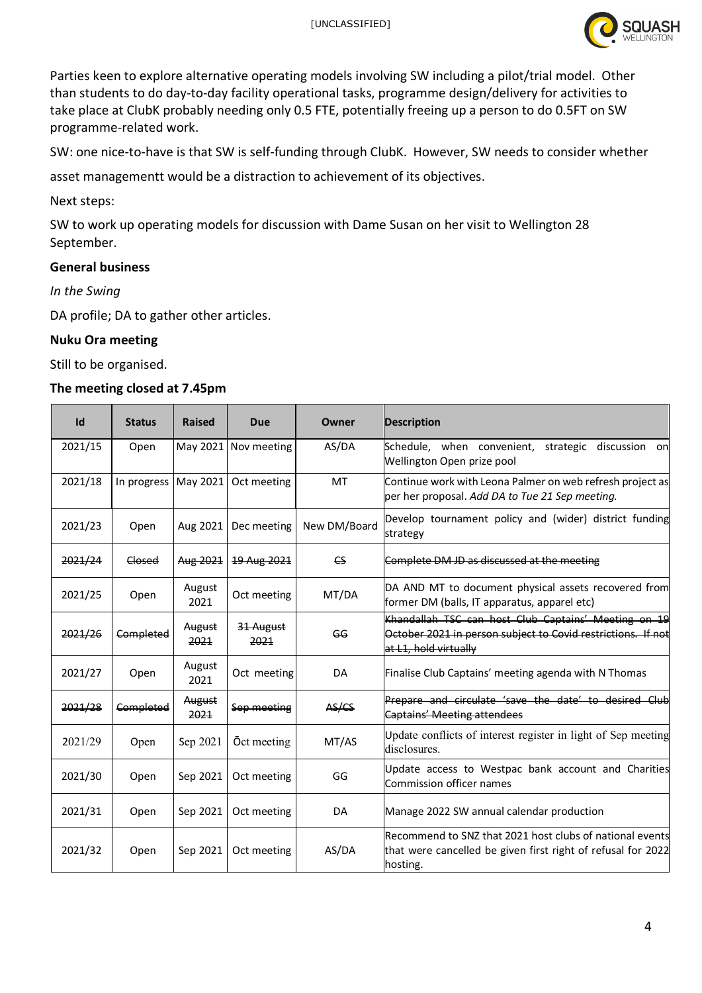[UNCLASSIFIED]



Parties keen to explore alternative operating models involving SW including a pilot/trial model. Other than students to do day-to-day facility operational tasks, programme design/delivery for activities to take place at ClubK probably needing only 0.5 FTE, potentially freeing up a person to do 0.5FT on SW programme-related work.

SW: one nice-to-have is that SW is self-funding through ClubK. However, SW needs to consider whether

asset managementt would be a distraction to achievement of its objectives.

Next steps:

SW to work up operating models for discussion with Dame Susan on her visit to Wellington 28 September.

## **General business**

*In the Swing*

DA profile; DA to gather other articles.

## **Nuku Ora meeting**

Still to be organised.

#### **The meeting closed at 7.45pm**

| Id      | <b>Status</b> | <b>Raised</b>  | Due                | Owner                  | <b>Description</b>                                                                                                                            |
|---------|---------------|----------------|--------------------|------------------------|-----------------------------------------------------------------------------------------------------------------------------------------------|
| 2021/15 | Open          | May 2021       | Nov meeting        | AS/DA                  | Schedule, when convenient,<br>discussion<br>strategic<br>on<br>Wellington Open prize pool                                                     |
| 2021/18 | In progress   | May 2021       | Oct meeting        | MT                     | Continue work with Leona Palmer on web refresh project as<br>per her proposal. Add DA to Tue 21 Sep meeting.                                  |
| 2021/23 | Open          | Aug 2021       | Dec meeting        | New DM/Board           | Develop tournament policy and (wider) district funding<br>strategy                                                                            |
| 2021/24 | Closed        | Aug 2021       | 19 Aug 2021        | $\mathsf{c}\mathsf{s}$ | Complete DM JD as discussed at the meeting                                                                                                    |
| 2021/25 | Open          | August<br>2021 | Oct meeting        | MT/DA                  | DA AND MT to document physical assets recovered from<br>former DM (balls, IT apparatus, apparel etc)                                          |
| 2021/26 | Completed     | August<br>2021 | 31 August<br>2021  | G <sub>G</sub>         | Khandallah TSC can host Club Captains' Meeting on 19<br>October 2021 in person subject to Covid restrictions. If not<br>at L1, hold virtually |
| 2021/27 | Open          | August<br>2021 | Oct meeting        | DA                     | Finalise Club Captains' meeting agenda with N Thomas                                                                                          |
| 2021/28 | Completed     | August<br>2021 | Sep meeting        | AS/CS                  | Prepare and circulate 'save the date' to desired Club<br><b>Captains' Meeting attendees</b>                                                   |
| 2021/29 | Open          | Sep 2021       | <b>Oct</b> meeting | MT/AS                  | Update conflicts of interest register in light of Sep meeting<br>disclosures.                                                                 |
| 2021/30 | Open          | Sep 2021       | Oct meeting        | GG                     | Update access to Westpac bank account and Charities<br>Commission officer names                                                               |
| 2021/31 | Open          | Sep 2021       | Oct meeting        | DA                     | Manage 2022 SW annual calendar production                                                                                                     |
| 2021/32 | Open          | Sep 2021       | Oct meeting        | AS/DA                  | Recommend to SNZ that 2021 host clubs of national events<br>that were cancelled be given first right of refusal for 2022<br>hosting.          |